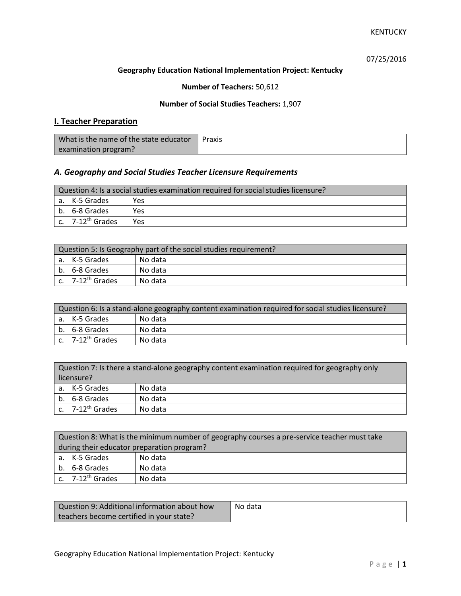07/25/2016

#### **Geography Education National Implementation Project: Kentucky**

## **Number of Teachers:** 50,612

### **Number of Social Studies Teachers:** 1,907

## **I. Teacher Preparation**

| What is the name of the state educator | Praxis |
|----------------------------------------|--------|
| examination program?                   |        |

## *A. Geography and Social Studies Teacher Licensure Requirements*

| Question 4: Is a social studies examination required for social studies licensure? |                       |     |
|------------------------------------------------------------------------------------|-----------------------|-----|
|                                                                                    | a. K-5 Grades         | Yes |
|                                                                                    | b. 6-8 Grades         | Yes |
|                                                                                    | c. $7-12^{th}$ Grades | Yes |

| Question 5: Is Geography part of the social studies requirement? |                                |         |
|------------------------------------------------------------------|--------------------------------|---------|
|                                                                  | a. K-5 Grades                  | No data |
|                                                                  | b. 6-8 Grades                  | No data |
|                                                                  | $c.$ 7-12 <sup>th</sup> Grades | No data |

| Question 6: Is a stand-alone geography content examination required for social studies licensure? |                              |         |
|---------------------------------------------------------------------------------------------------|------------------------------|---------|
|                                                                                                   | a. K-5 Grades                | No data |
|                                                                                                   | b. 6-8 Grades                | No data |
|                                                                                                   | c. 7-12 <sup>th</sup> Grades | No data |

| Question 7: Is there a stand-alone geography content examination required for geography only |                              |         |
|----------------------------------------------------------------------------------------------|------------------------------|---------|
| licensure?                                                                                   |                              |         |
|                                                                                              | a. K-5 Grades                | No data |
|                                                                                              | b. 6-8 Grades                | No data |
|                                                                                              | c. 7-12 <sup>th</sup> Grades | No data |

|                                            | Question 8: What is the minimum number of geography courses a pre-service teacher must take |         |  |
|--------------------------------------------|---------------------------------------------------------------------------------------------|---------|--|
| during their educator preparation program? |                                                                                             |         |  |
|                                            | a. K-5 Grades                                                                               | No data |  |
|                                            | b. 6-8 Grades                                                                               | No data |  |
|                                            | c. $7-12^{th}$ Grades                                                                       | No data |  |

| Question 9: Additional information about how | No data |
|----------------------------------------------|---------|
| teachers become certified in your state?     |         |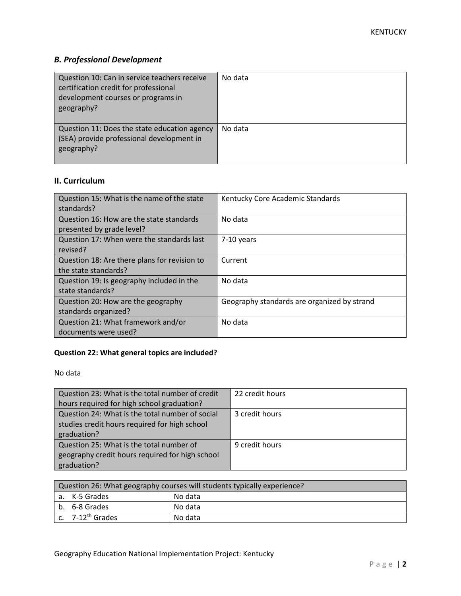# *B. Professional Development*

| Question 10: Can in service teachers receive<br>certification credit for professional<br>development courses or programs in<br>geography? | No data |
|-------------------------------------------------------------------------------------------------------------------------------------------|---------|
| Question 11: Does the state education agency<br>(SEA) provide professional development in<br>geography?                                   | No data |

# **II. Curriculum**

| Question 15: What is the name of the state   | Kentucky Core Academic Standards            |
|----------------------------------------------|---------------------------------------------|
| standards?                                   |                                             |
| Question 16: How are the state standards     | No data                                     |
| presented by grade level?                    |                                             |
| Question 17: When were the standards last    | 7-10 years                                  |
| revised?                                     |                                             |
| Question 18: Are there plans for revision to | Current                                     |
| the state standards?                         |                                             |
| Question 19: Is geography included in the    | No data                                     |
| state standards?                             |                                             |
| Question 20: How are the geography           | Geography standards are organized by strand |
| standards organized?                         |                                             |
| Question 21: What framework and/or           | No data                                     |
| documents were used?                         |                                             |

# **Question 22: What general topics are included?**

No data

| Question 23: What is the total number of credit | 22 credit hours |
|-------------------------------------------------|-----------------|
| hours required for high school graduation?      |                 |
| Question 24: What is the total number of social | 3 credit hours  |
| studies credit hours required for high school   |                 |
| graduation?                                     |                 |
| Question 25: What is the total number of        | 9 credit hours  |
| geography credit hours required for high school |                 |
| graduation?                                     |                 |

| Question 26: What geography courses will students typically experience? |                              |         |
|-------------------------------------------------------------------------|------------------------------|---------|
|                                                                         | a. K-5 Grades                | No data |
|                                                                         | b. 6-8 Grades                | No data |
|                                                                         | c. 7-12 <sup>th</sup> Grades | No data |